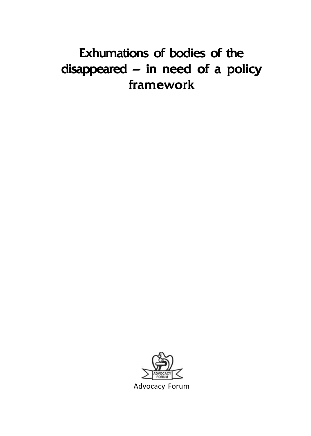# Exhumations of bodies of the disappeared – in need of a policy framework



Advocacy Forum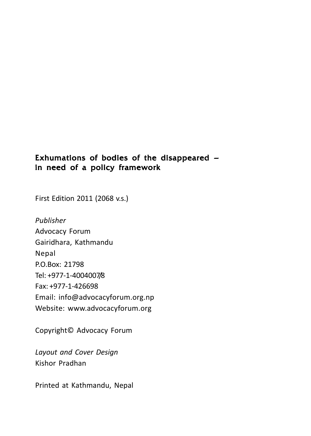### Exhumations of bodies of the disappeared – in need of a policy framework

First Edition 2011 (2068 v.s.)

*Publisher* Advocacy Forum Gairidhara, Kathmandu Nepal P.O.Box: 21798 Tel: +977-1-4004007/8 Fax: +977-1-426698 Email: info@advocacyforum.org.np Website: www.advocacyforum.org

Copyright© Advocacy Forum

*Layout and Cover Design* Kishor Pradhan

Printed at Kathmandu, Nepal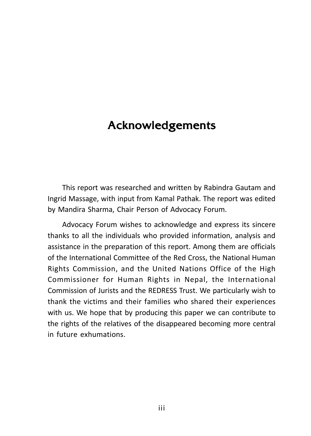## Acknowledgements

This report was researched and written by Rabindra Gautam and Ingrid Massage, with input from Kamal Pathak. The report was edited by Mandira Sharma, Chair Person of Advocacy Forum.

Advocacy Forum wishes to acknowledge and express its sincere thanks to all the individuals who provided information, analysis and assistance in the preparation of this report. Among them are officials of the International Committee of the Red Cross, the National Human Rights Commission, and the United Nations Office of the High Commissioner for Human Rights in Nepal, the International Commission of Jurists and the REDRESS Trust. We particularly wish to thank the victims and their families who shared their experiences with us. We hope that by producing this paper we can contribute to the rights of the relatives of the disappeared becoming more central in future exhumations.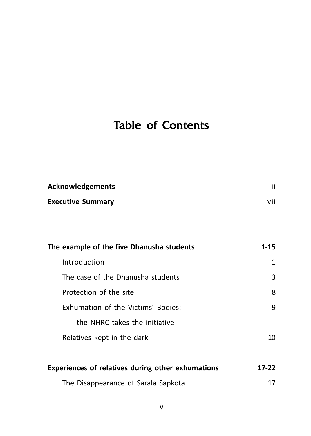# Table of Contents

| Acknowledgements         | $\cdots$ |
|--------------------------|----------|
| <b>Executive Summary</b> | vii      |

| The example of the five Dhanusha students | 1-15 |
|-------------------------------------------|------|
| Introduction                              | 1    |
| The case of the Dhanusha students         | 3    |
| Protection of the site                    | 8    |
| Exhumation of the Victims' Bodies:        | 9    |
| the NHRC takes the initiative             |      |
| Relatives kept in the dark                | 10   |
|                                           |      |

| Experiences of relatives during other exhumations<br>The Disappearance of Sarala Sapkota | $17-22$ |
|------------------------------------------------------------------------------------------|---------|
|                                                                                          | 17      |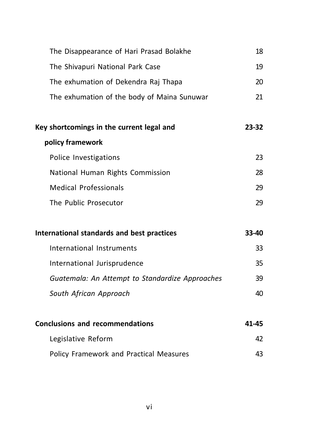| The Disappearance of Hari Prasad Bolakhe        | 18    |
|-------------------------------------------------|-------|
| The Shivapuri National Park Case                | 19    |
| The exhumation of Dekendra Raj Thapa            | 20    |
| The exhumation of the body of Maina Sunuwar     | 21    |
| Key shortcomings in the current legal and       | 23-32 |
| policy framework                                |       |
| Police Investigations                           | 23    |
| National Human Rights Commission                | 28    |
| <b>Medical Professionals</b>                    | 29    |
| The Public Prosecutor                           | 29    |
| International standards and best practices      | 33-40 |
| International Instruments                       | 33    |
| International Jurisprudence                     | 35    |
| Guatemala: An Attempt to Standardize Approaches | 39    |
| South African Approach                          | 40    |
| <b>Conclusions and recommendations</b>          | 41-45 |
| Legislative Reform                              | 42    |
| Policy Framework and Practical Measures         | 43    |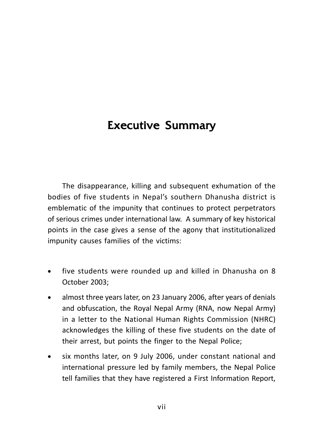## **Executive Summary**

The disappearance, killing and subsequent exhumation of the bodies of five students in Nepal's southern Dhanusha district is emblematic of the impunity that continues to protect perpetrators of serious crimes under international law. A summary of key historical points in the case gives a sense of the agony that institutionalized impunity causes families of the victims:

- five students were rounded up and killed in Dhanusha on 8 October 2003;
- almost three years later, on 23 January 2006, after years of denials and obfuscation, the Royal Nepal Army (RNA, now Nepal Army) in a letter to the National Human Rights Commission (NHRC) acknowledges the killing of these five students on the date of their arrest, but points the finger to the Nepal Police;
- six months later, on 9 July 2006, under constant national and international pressure led by family members, the Nepal Police tell families that they have registered a First Information Report,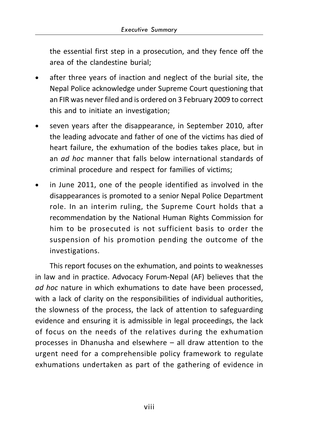the essential first step in a prosecution, and they fence off the area of the clandestine burial;

- after three years of inaction and neglect of the burial site, the Nepal Police acknowledge under Supreme Court questioning that an FIR was never filed and is ordered on 3 February 2009 to correct this and to initiate an investigation;
- seven years after the disappearance, in September 2010, after the leading advocate and father of one of the victims has died of heart failure, the exhumation of the bodies takes place, but in an *ad hoc* manner that falls below international standards of criminal procedure and respect for families of victims;
- in June 2011, one of the people identified as involved in the disappearances is promoted to a senior Nepal Police Department role. In an interim ruling, the Supreme Court holds that a recommendation by the National Human Rights Commission for him to be prosecuted is not sufficient basis to order the suspension of his promotion pending the outcome of the investigations.

This report focuses on the exhumation, and points to weaknesses in law and in practice. Advocacy Forum-Nepal (AF) believes that the *ad hoc* nature in which exhumations to date have been processed, with a lack of clarity on the responsibilities of individual authorities, the slowness of the process, the lack of attention to safeguarding evidence and ensuring it is admissible in legal proceedings, the lack of focus on the needs of the relatives during the exhumation processes in Dhanusha and elsewhere – all draw attention to the urgent need for a comprehensible policy framework to regulate exhumations undertaken as part of the gathering of evidence in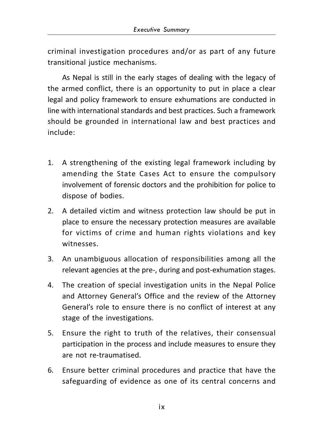criminal investigation procedures and/or as part of any future transitional justice mechanisms.

As Nepal is still in the early stages of dealing with the legacy of the armed conflict, there is an opportunity to put in place a clear legal and policy framework to ensure exhumations are conducted in line with international standards and best practices. Such a framework should be grounded in international law and best practices and include:

- 1. A strengthening of the existing legal framework including by amending the State Cases Act to ensure the compulsory involvement of forensic doctors and the prohibition for police to dispose of bodies.
- 2. A detailed victim and witness protection law should be put in place to ensure the necessary protection measures are available for victims of crime and human rights violations and key witnesses.
- 3. An unambiguous allocation of responsibilities among all the relevant agencies at the pre-, during and post-exhumation stages.
- 4. The creation of special investigation units in the Nepal Police and Attorney General's Office and the review of the Attorney General's role to ensure there is no conflict of interest at any stage of the investigations.
- 5. Ensure the right to truth of the relatives, their consensual participation in the process and include measures to ensure they are not re-traumatised.
- 6. Ensure better criminal procedures and practice that have the safeguarding of evidence as one of its central concerns and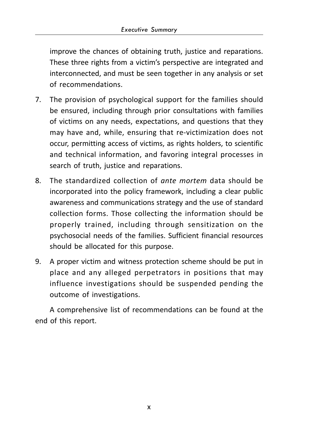improve the chances of obtaining truth, justice and reparations. These three rights from a victim's perspective are integrated and interconnected, and must be seen together in any analysis or set of recommendations.

- 7. The provision of psychological support for the families should be ensured, including through prior consultations with families of victims on any needs, expectations, and questions that they may have and, while, ensuring that re-victimization does not occur, permitting access of victims, as rights holders, to scientific and technical information, and favoring integral processes in search of truth, justice and reparations.
- 8. The standardized collection of *ante mortem* data should be incorporated into the policy framework, including a clear public awareness and communications strategy and the use of standard collection forms. Those collecting the information should be properly trained, including through sensitization on the psychosocial needs of the families. Sufficient financial resources should be allocated for this purpose.
- 9. A proper victim and witness protection scheme should be put in place and any alleged perpetrators in positions that may influence investigations should be suspended pending the outcome of investigations.

A comprehensive list of recommendations can be found at the end of this report.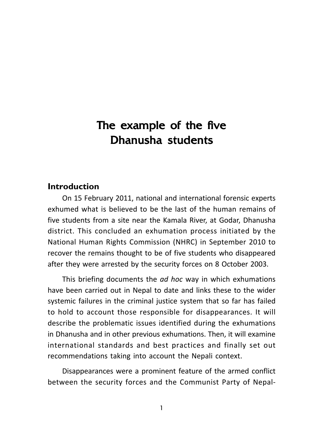## The example of the five Dhanusha students

#### **Introduction**

On 15 February 2011, national and international forensic experts exhumed what is believed to be the last of the human remains of five students from a site near the Kamala River, at Godar, Dhanusha district. This concluded an exhumation process initiated by the National Human Rights Commission (NHRC) in September 2010 to recover the remains thought to be of five students who disappeared after they were arrested by the security forces on 8 October 2003.

This briefing documents the *ad hoc* way in which exhumations have been carried out in Nepal to date and links these to the wider systemic failures in the criminal justice system that so far has failed to hold to account those responsible for disappearances. It will describe the problematic issues identified during the exhumations in Dhanusha and in other previous exhumations. Then, it will examine international standards and best practices and finally set out recommendations taking into account the Nepali context.

Disappearances were a prominent feature of the armed conflict between the security forces and the Communist Party of Nepal-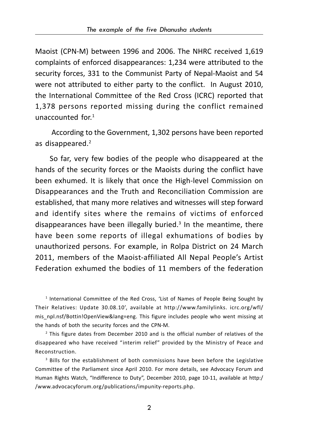Maoist (CPN-M) between 1996 and 2006. The NHRC received 1,619 complaints of enforced disappearances: 1,234 were attributed to the security forces, 331 to the Communist Party of Nepal-Maoist and 54 were not attributed to either party to the conflict. In August 2010, the International Committee of the Red Cross (ICRC) reported that 1,378 persons reported missing during the conflict remained unaccounted for.1

 According to the Government, 1,302 persons have been reported as disappeared.<sup>2</sup>

So far, very few bodies of the people who disappeared at the hands of the security forces or the Maoists during the conflict have been exhumed. It is likely that once the High-level Commission on Disappearances and the Truth and Reconciliation Commission are established, that many more relatives and witnesses will step forward and identify sites where the remains of victims of enforced disappearances have been illegally buried.<sup>3</sup> In the meantime, there have been some reports of illegal exhumations of bodies by unauthorized persons. For example, in Rolpa District on 24 March 2011, members of the Maoist-affiliated All Nepal People's Artist Federation exhumed the bodies of 11 members of the federation

1 International Committee of the Red Cross, 'List of Names of People Being Sought by Their Relatives: Update 30.08.10', available at http://www.familylinks. icrc.org/wfl/ mis\_npl.nsf/Bottin!OpenView&lang=eng. This figure includes people who went missing at the hands of both the security forces and the CPN-M.

<sup>2</sup> This figure dates from December 2010 and is the official number of relatives of the disappeared who have received "interim relief" provided by the Ministry of Peace and Reconstruction.

3 Bills for the establishment of both commissions have been before the Legislative Committee of the Parliament since April 2010. For more details, see Advocacy Forum and Human Rights Watch, "Indifference to Duty", December 2010, page 10-11, available at http:/ /www.advocacyforum.org/publications/impunity-reports.php.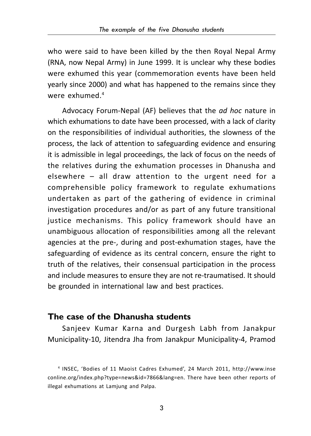who were said to have been killed by the then Royal Nepal Army (RNA, now Nepal Army) in June 1999. It is unclear why these bodies were exhumed this year (commemoration events have been held yearly since 2000) and what has happened to the remains since they were exhumed.4

Advocacy Forum-Nepal (AF) believes that the *ad hoc* nature in which exhumations to date have been processed, with a lack of clarity on the responsibilities of individual authorities, the slowness of the process, the lack of attention to safeguarding evidence and ensuring it is admissible in legal proceedings, the lack of focus on the needs of the relatives during the exhumation processes in Dhanusha and elsewhere – all draw attention to the urgent need for a comprehensible policy framework to regulate exhumations undertaken as part of the gathering of evidence in criminal investigation procedures and/or as part of any future transitional justice mechanisms. This policy framework should have an unambiguous allocation of responsibilities among all the relevant agencies at the pre-, during and post-exhumation stages, have the safeguarding of evidence as its central concern, ensure the right to truth of the relatives, their consensual participation in the process and include measures to ensure they are not re-traumatised. It should be grounded in international law and best practices.

### **The case of the Dhanusha students**

Sanjeev Kumar Karna and Durgesh Labh from Janakpur Municipality-10, Jitendra Jha from Janakpur Municipality-4, Pramod

<sup>4</sup> INSEC, 'Bodies of 11 Maoist Cadres Exhumed', 24 March 2011, http://www.inse conline.org/index.php?type=news&id=7866&lang=en. There have been other reports of illegal exhumations at Lamjung and Palpa.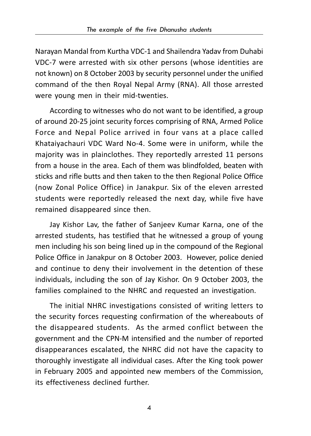Narayan Mandal from Kurtha VDC-1 and Shailendra Yadav from Duhabi VDC-7 were arrested with six other persons (whose identities are not known) on 8 October 2003 by security personnel under the unified command of the then Royal Nepal Army (RNA). All those arrested were young men in their mid-twenties.

According to witnesses who do not want to be identified, a group of around 20-25 joint security forces comprising of RNA, Armed Police Force and Nepal Police arrived in four vans at a place called Khataiyachauri VDC Ward No-4. Some were in uniform, while the majority was in plainclothes. They reportedly arrested 11 persons from a house in the area. Each of them was blindfolded, beaten with sticks and rifle butts and then taken to the then Regional Police Office (now Zonal Police Office) in Janakpur. Six of the eleven arrested students were reportedly released the next day, while five have remained disappeared since then.

Jay Kishor Lav, the father of Sanjeev Kumar Karna, one of the arrested students, has testified that he witnessed a group of young men including his son being lined up in the compound of the Regional Police Office in Janakpur on 8 October 2003. However, police denied and continue to deny their involvement in the detention of these individuals, including the son of Jay Kishor. On 9 October 2003, the families complained to the NHRC and requested an investigation.

The initial NHRC investigations consisted of writing letters to the security forces requesting confirmation of the whereabouts of the disappeared students. As the armed conflict between the government and the CPN-M intensified and the number of reported disappearances escalated, the NHRC did not have the capacity to thoroughly investigate all individual cases. After the King took power in February 2005 and appointed new members of the Commission, its effectiveness declined further.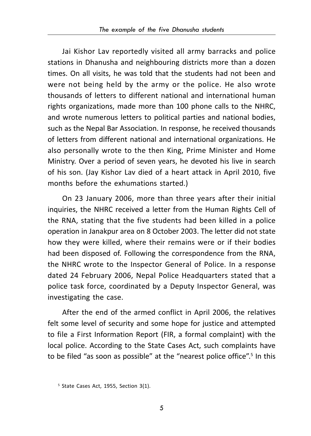Jai Kishor Lav reportedly visited all army barracks and police stations in Dhanusha and neighbouring districts more than a dozen times. On all visits, he was told that the students had not been and were not being held by the army or the police. He also wrote thousands of letters to different national and international human rights organizations, made more than 100 phone calls to the NHRC, and wrote numerous letters to political parties and national bodies, such as the Nepal Bar Association. In response, he received thousands of letters from different national and international organizations. He also personally wrote to the then King, Prime Minister and Home Ministry. Over a period of seven years, he devoted his live in search of his son. (Jay Kishor Lav died of a heart attack in April 2010, five months before the exhumations started.)

On 23 January 2006, more than three years after their initial inquiries, the NHRC received a letter from the Human Rights Cell of the RNA, stating that the five students had been killed in a police operation in Janakpur area on 8 October 2003. The letter did not state how they were killed, where their remains were or if their bodies had been disposed of. Following the correspondence from the RNA, the NHRC wrote to the Inspector General of Police. In a response dated 24 February 2006, Nepal Police Headquarters stated that a police task force, coordinated by a Deputy Inspector General, was investigating the case.

After the end of the armed conflict in April 2006, the relatives felt some level of security and some hope for justice and attempted to file a First Information Report (FIR, a formal complaint) with the local police. According to the State Cases Act, such complaints have to be filed "as soon as possible" at the "nearest police office".<sup>5</sup> In this

<sup>5</sup> State Cases Act, 1955, Section 3(1).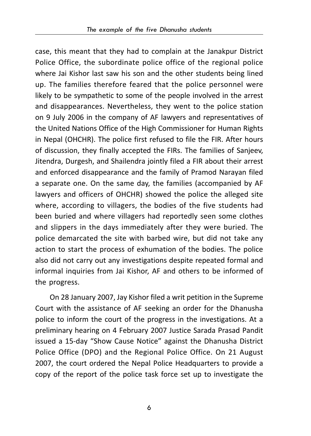case, this meant that they had to complain at the Janakpur District Police Office, the subordinate police office of the regional police where Jai Kishor last saw his son and the other students being lined up. The families therefore feared that the police personnel were likely to be sympathetic to some of the people involved in the arrest and disappearances. Nevertheless, they went to the police station on 9 July 2006 in the company of AF lawyers and representatives of the United Nations Office of the High Commissioner for Human Rights in Nepal (OHCHR). The police first refused to file the FIR. After hours of discussion, they finally accepted the FIRs. The families of Sanjeev, Jitendra, Durgesh, and Shailendra jointly filed a FIR about their arrest and enforced disappearance and the family of Pramod Narayan filed a separate one. On the same day, the families (accompanied by AF lawyers and officers of OHCHR) showed the police the alleged site where, according to villagers, the bodies of the five students had been buried and where villagers had reportedly seen some clothes and slippers in the days immediately after they were buried. The police demarcated the site with barbed wire, but did not take any action to start the process of exhumation of the bodies. The police also did not carry out any investigations despite repeated formal and informal inquiries from Jai Kishor, AF and others to be informed of the progress.

On 28 January 2007, Jay Kishor filed a writ petition in the Supreme Court with the assistance of AF seeking an order for the Dhanusha police to inform the court of the progress in the investigations. At a preliminary hearing on 4 February 2007 Justice Sarada Prasad Pandit issued a 15-day "Show Cause Notice" against the Dhanusha District Police Office (DPO) and the Regional Police Office. On 21 August 2007, the court ordered the Nepal Police Headquarters to provide a copy of the report of the police task force set up to investigate the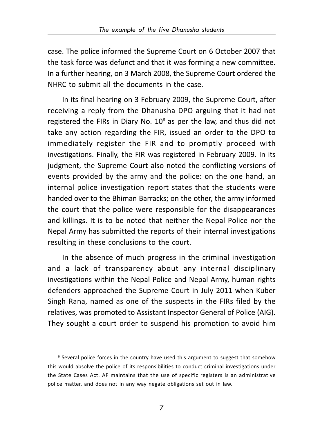case. The police informed the Supreme Court on 6 October 2007 that the task force was defunct and that it was forming a new committee. In a further hearing, on 3 March 2008, the Supreme Court ordered the NHRC to submit all the documents in the case.

In its final hearing on 3 February 2009, the Supreme Court, after receiving a reply from the Dhanusha DPO arguing that it had not registered the FIRs in Diary No.  $10^6$  as per the law, and thus did not take any action regarding the FIR, issued an order to the DPO to immediately register the FIR and to promptly proceed with investigations. Finally, the FIR was registered in February 2009. In its judgment, the Supreme Court also noted the conflicting versions of events provided by the army and the police: on the one hand, an internal police investigation report states that the students were handed over to the Bhiman Barracks; on the other, the army informed the court that the police were responsible for the disappearances and killings. It is to be noted that neither the Nepal Police nor the Nepal Army has submitted the reports of their internal investigations resulting in these conclusions to the court.

In the absence of much progress in the criminal investigation and a lack of transparency about any internal disciplinary investigations within the Nepal Police and Nepal Army, human rights defenders approached the Supreme Court in July 2011 when Kuber Singh Rana, named as one of the suspects in the FIRs filed by the relatives, was promoted to Assistant Inspector General of Police (AIG). They sought a court order to suspend his promotion to avoid him

6 Several police forces in the country have used this argument to suggest that somehow this would absolve the police of its responsibilities to conduct criminal investigations under the State Cases Act. AF maintains that the use of specific registers is an administrative police matter, and does not in any way negate obligations set out in law.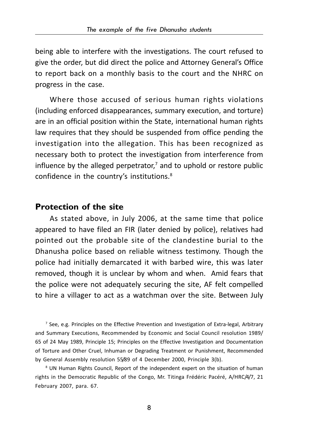being able to interfere with the investigations. The court refused to give the order, but did direct the police and Attorney General's Office to report back on a monthly basis to the court and the NHRC on progress in the case.

Where those accused of serious human rights violations (including enforced disappearances, summary execution, and torture) are in an official position within the State, international human rights law requires that they should be suspended from office pending the investigation into the allegation. This has been recognized as necessary both to protect the investigation from interference from influence by the alleged perpetrator,<sup>7</sup> and to uphold or restore public confidence in the country's institutions.<sup>8</sup>

#### **Protection of the site**

As stated above, in July 2006, at the same time that police appeared to have filed an FIR (later denied by police), relatives had pointed out the probable site of the clandestine burial to the Dhanusha police based on reliable witness testimony. Though the police had initially demarcated it with barbed wire, this was later removed, though it is unclear by whom and when. Amid fears that the police were not adequately securing the site, AF felt compelled to hire a villager to act as a watchman over the site. Between July

7 See, e.g. Principles on the Effective Prevention and Investigation of Extra-legal, Arbitrary and Summary Executions, Recommended by Economic and Social Council resolution 1989/ 65 of 24 May 1989, Principle 15; Principles on the Effective Investigation and Documentation of Torture and Other Cruel, Inhuman or Degrading Treatment or Punishment, Recommended by General Assembly resolution 55/89 of 4 December 2000, Principle 3(b).

8 UN Human Rights Council, Report of the independent expert on the situation of human rights in the Democratic Republic of the Congo, Mr. Titinga Frédéric Pacéré, A/HRC/4/7, 21 February 2007, para. 67.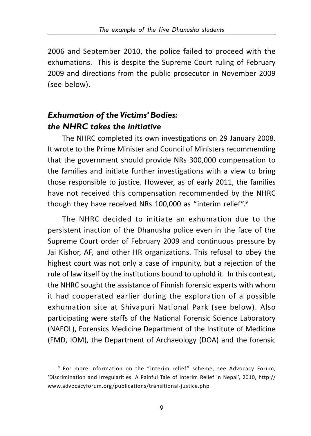2006 and September 2010, the police failed to proceed with the exhumations. This is despite the Supreme Court ruling of February 2009 and directions from the public prosecutor in November 2009 (see below).

## *Exhumation of the Victims' Bodies: the NHRC takes the initiative*

The NHRC completed its own investigations on 29 January 2008. It wrote to the Prime Minister and Council of Ministers recommending that the government should provide NRs 300,000 compensation to the families and initiate further investigations with a view to bring those responsible to justice. However, as of early 2011, the families have not received this compensation recommended by the NHRC though they have received NRs 100,000 as "interim relief".<sup>9</sup>

The NHRC decided to initiate an exhumation due to the persistent inaction of the Dhanusha police even in the face of the Supreme Court order of February 2009 and continuous pressure by Jai Kishor, AF, and other HR organizations. This refusal to obey the highest court was not only a case of impunity, but a rejection of the rule of law itself by the institutions bound to uphold it. In this context, the NHRC sought the assistance of Finnish forensic experts with whom it had cooperated earlier during the exploration of a possible exhumation site at Shivapuri National Park (see below). Also participating were staffs of the National Forensic Science Laboratory (NAFOL), Forensics Medicine Department of the Institute of Medicine (FMD, IOM), the Department of Archaeology (DOA) and the forensic

<sup>9</sup> For more information on the "interim relief" scheme, see Advocacy Forum, 'Discrimination and Irregularities. A Painful Tale of Interim Relief in Nepal', 2010, http:// www.advocacyforum.org/publications/transitional-justice.php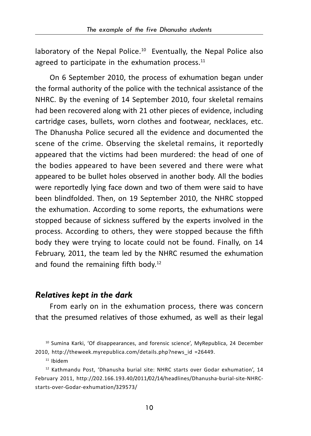laboratory of the Nepal Police.<sup>10</sup> Eventually, the Nepal Police also agreed to participate in the exhumation process. $11$ 

On 6 September 2010, the process of exhumation began under the formal authority of the police with the technical assistance of the NHRC. By the evening of 14 September 2010, four skeletal remains had been recovered along with 21 other pieces of evidence, including cartridge cases, bullets, worn clothes and footwear, necklaces, etc. The Dhanusha Police secured all the evidence and documented the scene of the crime. Observing the skeletal remains, it reportedly appeared that the victims had been murdered: the head of one of the bodies appeared to have been severed and there were what appeared to be bullet holes observed in another body. All the bodies were reportedly lying face down and two of them were said to have been blindfolded. Then, on 19 September 2010, the NHRC stopped the exhumation. According to some reports, the exhumations were stopped because of sickness suffered by the experts involved in the process. According to others, they were stopped because the fifth body they were trying to locate could not be found. Finally, on 14 February, 2011, the team led by the NHRC resumed the exhumation and found the remaining fifth body.12

#### *Relatives kept in the dark*

From early on in the exhumation process, there was concern that the presumed relatives of those exhumed, as well as their legal

11 Ibidem

<sup>&</sup>lt;sup>10</sup> Sumina Karki, 'Of disappearances, and forensic science', MyRepublica, 24 December 2010, http://theweek.myrepublica.com/details.php?news\_id =26449.

<sup>&</sup>lt;sup>12</sup> Kathmandu Post, 'Dhanusha burial site: NHRC starts over Godar exhumation', 14 February 2011, http://202.166.193.40/2011/02/14/headlines/Dhanusha-burial-site-NHRCstarts-over-Godar-exhumation/329573/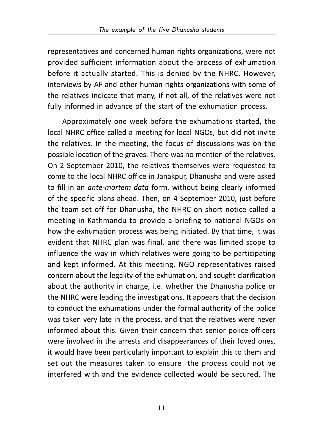representatives and concerned human rights organizations, were not provided sufficient information about the process of exhumation before it actually started. This is denied by the NHRC. However, interviews by AF and other human rights organizations with some of the relatives indicate that many, if not all, of the relatives were not fully informed in advance of the start of the exhumation process.

Approximately one week before the exhumations started, the local NHRC office called a meeting for local NGOs, but did not invite the relatives. In the meeting, the focus of discussions was on the possible location of the graves. There was no mention of the relatives. On 2 September 2010, the relatives themselves were requested to come to the local NHRC office in Janakpur, Dhanusha and were asked to fill in an *ante-mortem data* form, without being clearly informed of the specific plans ahead. Then, on 4 September 2010, just before the team set off for Dhanusha, the NHRC on short notice called a meeting in Kathmandu to provide a briefing to national NGOs on how the exhumation process was being initiated. By that time, it was evident that NHRC plan was final, and there was limited scope to influence the way in which relatives were going to be participating and kept informed. At this meeting, NGO representatives raised concern about the legality of the exhumation, and sought clarification about the authority in charge, i.e. whether the Dhanusha police or the NHRC were leading the investigations. It appears that the decision to conduct the exhumations under the formal authority of the police was taken very late in the process, and that the relatives were never informed about this. Given their concern that senior police officers were involved in the arrests and disappearances of their loved ones, it would have been particularly important to explain this to them and set out the measures taken to ensure the process could not be interfered with and the evidence collected would be secured. The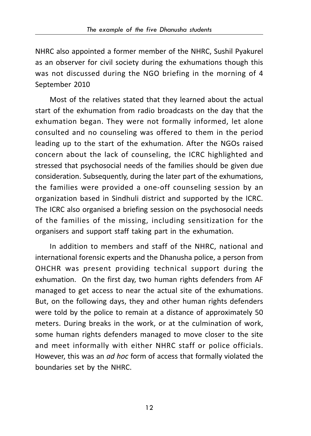NHRC also appointed a former member of the NHRC, Sushil Pyakurel as an observer for civil society during the exhumations though this was not discussed during the NGO briefing in the morning of 4 September 2010

Most of the relatives stated that they learned about the actual start of the exhumation from radio broadcasts on the day that the exhumation began. They were not formally informed, let alone consulted and no counseling was offered to them in the period leading up to the start of the exhumation. After the NGOs raised concern about the lack of counseling, the ICRC highlighted and stressed that psychosocial needs of the families should be given due consideration. Subsequently, during the later part of the exhumations, the families were provided a one-off counseling session by an organization based in Sindhuli district and supported by the ICRC. The ICRC also organised a briefing session on the psychosocial needs of the families of the missing, including sensitization for the organisers and support staff taking part in the exhumation.

In addition to members and staff of the NHRC, national and international forensic experts and the Dhanusha police, a person from OHCHR was present providing technical support during the exhumation. On the first day, two human rights defenders from AF managed to get access to near the actual site of the exhumations. But, on the following days, they and other human rights defenders were told by the police to remain at a distance of approximately 50 meters. During breaks in the work, or at the culmination of work, some human rights defenders managed to move closer to the site and meet informally with either NHRC staff or police officials. However, this was an *ad hoc* form of access that formally violated the boundaries set by the NHRC.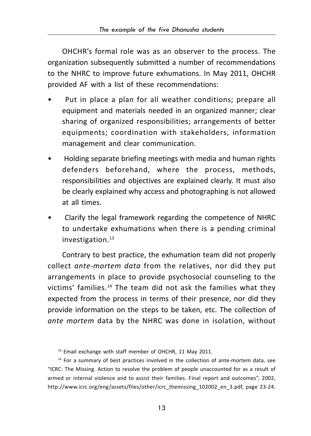OHCHR's formal role was as an observer to the process. The organization subsequently submitted a number of recommendations to the NHRC to improve future exhumations. In May 2011, OHCHR provided AF with a list of these recommendations:

- Put in place a plan for all weather conditions; prepare all equipment and materials needed in an organized manner; clear sharing of organized responsibilities; arrangements of better equipments; coordination with stakeholders, information management and clear communication.
- Holding separate briefing meetings with media and human rights defenders beforehand, where the process, methods, responsibilities and objectives are explained clearly. It must also be clearly explained why access and photographing is not allowed at all times.
- Clarify the legal framework regarding the competence of NHRC to undertake exhumations when there is a pending criminal investigation.<sup>13</sup>

Contrary to best practice, the exhumation team did not properly collect *ante-mortem data* from the relatives, nor did they put arrangements in place to provide psychosocial counseling to the victims' families.14 The team did not ask the families what they expected from the process in terms of their presence, nor did they provide information on the steps to be taken, etc. The collection of *ante mortem* data by the NHRC was done in isolation, without

<sup>&</sup>lt;sup>13</sup> Email exchange with staff member of OHCHR, 11 May 2011.

<sup>&</sup>lt;sup>14</sup> For a summary of best practices involved in the collection of ante-mortem data, see "ICRC: The Missing. Action to resolve the problem of people unaccounted for as a result of armed or internal violence and to assist their families. Final report and outcomes", 2002, http://www.icrc.org/eng/assets/files/other/icrc\_themissing\_102002\_en\_3.pdf, page 23-24.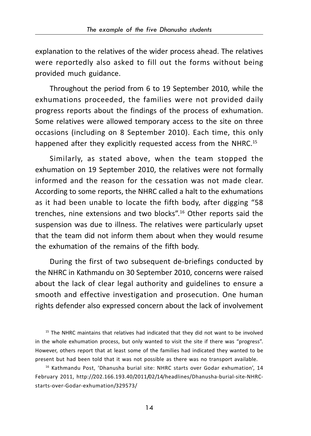explanation to the relatives of the wider process ahead. The relatives were reportedly also asked to fill out the forms without being provided much guidance.

Throughout the period from 6 to 19 September 2010, while the exhumations proceeded, the families were not provided daily progress reports about the findings of the process of exhumation. Some relatives were allowed temporary access to the site on three occasions (including on 8 September 2010). Each time, this only happened after they explicitly requested access from the NHRC.<sup>15</sup>

Similarly, as stated above, when the team stopped the exhumation on 19 September 2010, the relatives were not formally informed and the reason for the cessation was not made clear. According to some reports, the NHRC called a halt to the exhumations as it had been unable to locate the fifth body, after digging "58 trenches, nine extensions and two blocks".16 Other reports said the suspension was due to illness. The relatives were particularly upset that the team did not inform them about when they would resume the exhumation of the remains of the fifth body.

During the first of two subsequent de-briefings conducted by the NHRC in Kathmandu on 30 September 2010, concerns were raised about the lack of clear legal authority and guidelines to ensure a smooth and effective investigation and prosecution. One human rights defender also expressed concern about the lack of involvement

<sup>15</sup> The NHRC maintains that relatives had indicated that they did not want to be involved in the whole exhumation process, but only wanted to visit the site if there was "progress". However, others report that at least some of the families had indicated they wanted to be present but had been told that it was not possible as there was no transport available.

<sup>16</sup> Kathmandu Post, 'Dhanusha burial site: NHRC starts over Godar exhumation', 14 February 2011, http://202.166.193.40/2011/02/14/headlines/Dhanusha-burial-site-NHRCstarts-over-Godar-exhumation/329573/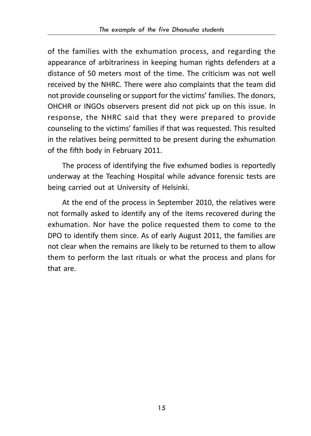of the families with the exhumation process, and regarding the appearance of arbitrariness in keeping human rights defenders at a distance of 50 meters most of the time. The criticism was not well received by the NHRC. There were also complaints that the team did not provide counseling or support for the victims' families. The donors, OHCHR or INGOs observers present did not pick up on this issue. In response, the NHRC said that they were prepared to provide counseling to the victims' families if that was requested. This resulted in the relatives being permitted to be present during the exhumation of the fifth body in February 2011.

The process of identifying the five exhumed bodies is reportedly underway at the Teaching Hospital while advance forensic tests are being carried out at University of Helsinki.

At the end of the process in September 2010, the relatives were not formally asked to identify any of the items recovered during the exhumation. Nor have the police requested them to come to the DPO to identify them since. As of early August 2011, the families are not clear when the remains are likely to be returned to them to allow them to perform the last rituals or what the process and plans for that are.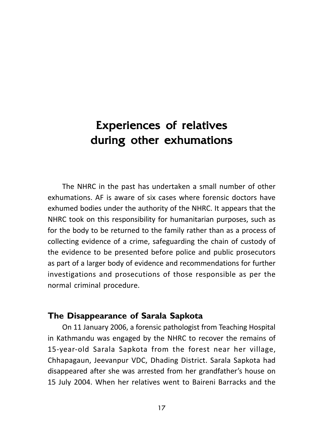# Experiences of relatives during other exhumations

The NHRC in the past has undertaken a small number of other exhumations. AF is aware of six cases where forensic doctors have exhumed bodies under the authority of the NHRC. It appears that the NHRC took on this responsibility for humanitarian purposes, such as for the body to be returned to the family rather than as a process of collecting evidence of a crime, safeguarding the chain of custody of the evidence to be presented before police and public prosecutors as part of a larger body of evidence and recommendations for further investigations and prosecutions of those responsible as per the normal criminal procedure.

### **The Disappearance of Sarala Sapkota**

On 11 January 2006, a forensic pathologist from Teaching Hospital in Kathmandu was engaged by the NHRC to recover the remains of 15-year-old Sarala Sapkota from the forest near her village, Chhapagaun, Jeevanpur VDC, Dhading District. Sarala Sapkota had disappeared after she was arrested from her grandfather's house on 15 July 2004. When her relatives went to Baireni Barracks and the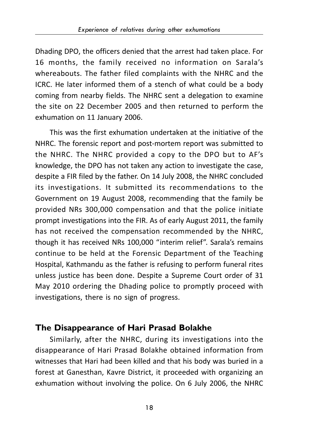Dhading DPO, the officers denied that the arrest had taken place. For 16 months, the family received no information on Sarala's whereabouts. The father filed complaints with the NHRC and the ICRC. He later informed them of a stench of what could be a body coming from nearby fields. The NHRC sent a delegation to examine the site on 22 December 2005 and then returned to perform the exhumation on 11 January 2006.

This was the first exhumation undertaken at the initiative of the NHRC. The forensic report and post-mortem report was submitted to the NHRC. The NHRC provided a copy to the DPO but to AF's knowledge, the DPO has not taken any action to investigate the case, despite a FIR filed by the father. On 14 July 2008, the NHRC concluded its investigations. It submitted its recommendations to the Government on 19 August 2008, recommending that the family be provided NRs 300,000 compensation and that the police initiate prompt investigations into the FIR. As of early August 2011, the family has not received the compensation recommended by the NHRC, though it has received NRs 100,000 "interim relief". Sarala's remains continue to be held at the Forensic Department of the Teaching Hospital, Kathmandu as the father is refusing to perform funeral rites unless justice has been done. Despite a Supreme Court order of 31 May 2010 ordering the Dhading police to promptly proceed with investigations, there is no sign of progress.

## **The Disappearance of Hari Prasad Bolakhe**

Similarly, after the NHRC, during its investigations into the disappearance of Hari Prasad Bolakhe obtained information from witnesses that Hari had been killed and that his body was buried in a forest at Ganesthan, Kavre District, it proceeded with organizing an exhumation without involving the police. On 6 July 2006, the NHRC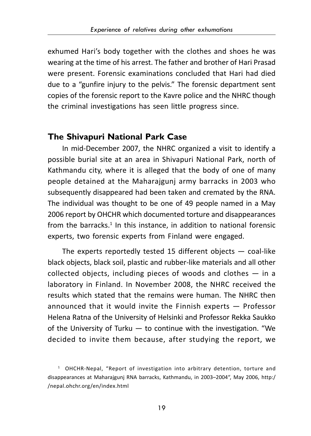exhumed Hari's body together with the clothes and shoes he was wearing at the time of his arrest. The father and brother of Hari Prasad were present. Forensic examinations concluded that Hari had died due to a "gunfire injury to the pelvis." The forensic department sent copies of the forensic report to the Kavre police and the NHRC though the criminal investigations has seen little progress since.

### **The Shivapuri National Park Case**

In mid-December 2007, the NHRC organized a visit to identify a possible burial site at an area in Shivapuri National Park, north of Kathmandu city, where it is alleged that the body of one of many people detained at the Maharajgunj army barracks in 2003 who subsequently disappeared had been taken and cremated by the RNA. The individual was thought to be one of 49 people named in a May 2006 report by OHCHR which documented torture and disappearances from the barracks.<sup>1</sup> In this instance, in addition to national forensic experts, two forensic experts from Finland were engaged.

The experts reportedly tested 15 different objects  $-$  coal-like black objects, black soil, plastic and rubber-like materials and all other collected objects, including pieces of woods and clothes — in a laboratory in Finland. In November 2008, the NHRC received the results which stated that the remains were human. The NHRC then announced that it would invite the Finnish experts — Professor Helena Ratna of the University of Helsinki and Professor Rekka Saukko of the University of Turku — to continue with the investigation. "We decided to invite them because, after studying the report, we

<sup>1</sup> OHCHR-Nepal, "Report of investigation into arbitrary detention, torture and disappearances at Maharajgunj RNA barracks, Kathmandu, in 2003–2004", May 2006, http:/ /nepal.ohchr.org/en/index.html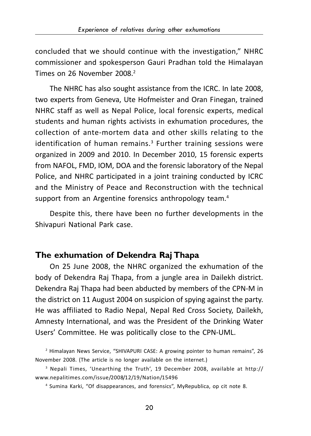concluded that we should continue with the investigation," NHRC commissioner and spokesperson Gauri Pradhan told the Himalayan Times on 26 November 2008<sup>2</sup>

The NHRC has also sought assistance from the ICRC. In late 2008, two experts from Geneva, Ute Hofmeister and Oran Finegan, trained NHRC staff as well as Nepal Police, local forensic experts, medical students and human rights activists in exhumation procedures, the collection of ante-mortem data and other skills relating to the identification of human remains.<sup>3</sup> Further training sessions were organized in 2009 and 2010. In December 2010, 15 forensic experts from NAFOL, FMD, IOM, DOA and the forensic laboratory of the Nepal Police, and NHRC participated in a joint training conducted by ICRC and the Ministry of Peace and Reconstruction with the technical support from an Argentine forensics anthropology team.<sup>4</sup>

Despite this, there have been no further developments in the Shivapuri National Park case.

### **The exhumation of Dekendra Raj Thapa**

On 25 June 2008, the NHRC organized the exhumation of the body of Dekendra Raj Thapa, from a jungle area in Dailekh district. Dekendra Raj Thapa had been abducted by members of the CPN-M in the district on 11 August 2004 on suspicion of spying against the party. He was affiliated to Radio Nepal, Nepal Red Cross Society, Dailekh, Amnesty International, and was the President of the Drinking Water Users' Committee. He was politically close to the CPN-UML.

<sup>&</sup>lt;sup>2</sup> Himalayan News Service, "SHIVAPURI CASE: A growing pointer to human remains", 26 November 2008. (The article is no longer available on the internet.)

<sup>3</sup> Nepali Times, 'Unearthing the Truth', 19 December 2008, available at http:// www.nepalitimes.com/issue/2008/12/19/Nation/15496

<sup>4</sup> Sumina Karki, "Of disappearances, and forensics", MyRepublica, op cit note 8.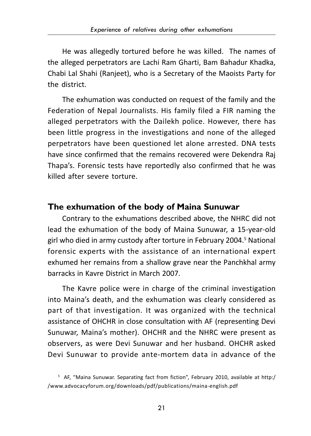He was allegedly tortured before he was killed. The names of the alleged perpetrators are Lachi Ram Gharti, Bam Bahadur Khadka, Chabi Lal Shahi (Ranjeet), who is a Secretary of the Maoists Party for the district.

The exhumation was conducted on request of the family and the Federation of Nepal Journalists. His family filed a FIR naming the alleged perpetrators with the Dailekh police. However, there has been little progress in the investigations and none of the alleged perpetrators have been questioned let alone arrested. DNA tests have since confirmed that the remains recovered were Dekendra Raj Thapa's. Forensic tests have reportedly also confirmed that he was killed after severe torture.

### **The exhumation of the body of Maina Sunuwar**

Contrary to the exhumations described above, the NHRC did not lead the exhumation of the body of Maina Sunuwar, a 15-year-old girl who died in army custody after torture in February 2004.<sup>5</sup> National forensic experts with the assistance of an international expert exhumed her remains from a shallow grave near the Panchkhal army barracks in Kavre District in March 2007.

The Kavre police were in charge of the criminal investigation into Maina's death, and the exhumation was clearly considered as part of that investigation. It was organized with the technical assistance of OHCHR in close consultation with AF (representing Devi Sunuwar, Maina's mother). OHCHR and the NHRC were present as observers, as were Devi Sunuwar and her husband. OHCHR asked Devi Sunuwar to provide ante-mortem data in advance of the

<sup>5</sup> AF, "Maina Sunuwar. Separating fact from fiction", February 2010, available at http:/ /www.advocacyforum.org/downloads/pdf/publications/maina-english.pdf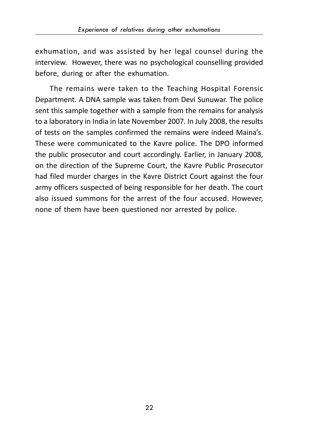exhumation, and was assisted by her legal counsel during the interview. However, there was no psychological counselling provided before, during or after the exhumation.

The remains were taken to the Teaching Hospital Forensic Department. A DNA sample was taken from Devi Sunuwar. The police sent this sample together with a sample from the remains for analysis to a laboratory in India in late November 2007. In July 2008, the results of tests on the samples confirmed the remains were indeed Maina's. These were communicated to the Kavre police. The DPO informed the public prosecutor and court accordingly. Earlier, in January 2008, on the direction of the Supreme Court, the Kavre Public Prosecutor had filed murder charges in the Kavre District Court against the four army officers suspected of being responsible for her death. The court also issued summons for the arrest of the four accused. However, none of them have been questioned nor arrested by police.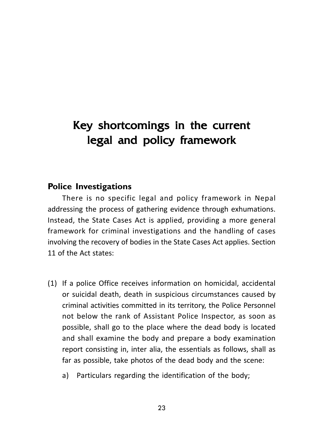# Key shortcomings in the current legal and policy framework

### **Police Investigations**

There is no specific legal and policy framework in Nepal addressing the process of gathering evidence through exhumations. Instead, the State Cases Act is applied, providing a more general framework for criminal investigations and the handling of cases involving the recovery of bodies in the State Cases Act applies. Section 11 of the Act states:

- (1) If a police Office receives information on homicidal, accidental or suicidal death, death in suspicious circumstances caused by criminal activities committed in its territory, the Police Personnel not below the rank of Assistant Police Inspector, as soon as possible, shall go to the place where the dead body is located and shall examine the body and prepare a body examination report consisting in, inter alia, the essentials as follows, shall as far as possible, take photos of the dead body and the scene:
	- a) Particulars regarding the identification of the body;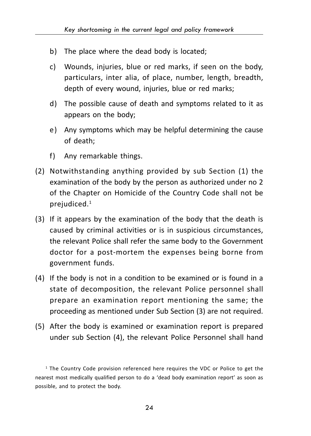- b) The place where the dead body is located;
- c) Wounds, injuries, blue or red marks, if seen on the body, particulars, inter alia, of place, number, length, breadth, depth of every wound, injuries, blue or red marks;
- d) The possible cause of death and symptoms related to it as appears on the body;
- e) Any symptoms which may be helpful determining the cause of death;
- f) Any remarkable things.
- (2) Notwithstanding anything provided by sub Section (1) the examination of the body by the person as authorized under no 2 of the Chapter on Homicide of the Country Code shall not be prejudiced.1
- (3) If it appears by the examination of the body that the death is caused by criminal activities or is in suspicious circumstances, the relevant Police shall refer the same body to the Government doctor for a post-mortem the expenses being borne from government funds.
- (4) If the body is not in a condition to be examined or is found in a state of decomposition, the relevant Police personnel shall prepare an examination report mentioning the same; the proceeding as mentioned under Sub Section (3) are not required.
- (5) After the body is examined or examination report is prepared under sub Section (4), the relevant Police Personnel shall hand

<sup>1</sup> The Country Code provision referenced here requires the VDC or Police to get the nearest most medically qualified person to do a 'dead body examination report' as soon as possible, and to protect the body.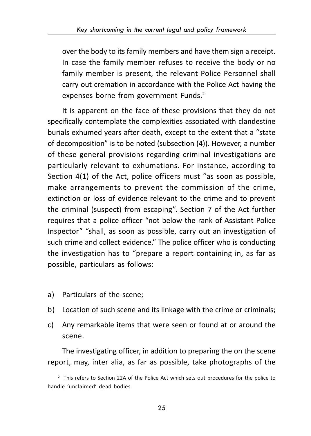over the body to its family members and have them sign a receipt. In case the family member refuses to receive the body or no family member is present, the relevant Police Personnel shall carry out cremation in accordance with the Police Act having the expenses borne from government Funds.<sup>2</sup>

It is apparent on the face of these provisions that they do not specifically contemplate the complexities associated with clandestine burials exhumed years after death, except to the extent that a "state of decomposition" is to be noted (subsection (4)). However, a number of these general provisions regarding criminal investigations are particularly relevant to exhumations. For instance, according to Section 4(1) of the Act, police officers must "as soon as possible, make arrangements to prevent the commission of the crime, extinction or loss of evidence relevant to the crime and to prevent the criminal (suspect) from escaping". Section 7 of the Act further requires that a police officer "not below the rank of Assistant Police Inspector" "shall, as soon as possible, carry out an investigation of such crime and collect evidence." The police officer who is conducting the investigation has to "prepare a report containing in, as far as possible, particulars as follows:

- a) Particulars of the scene;
- b) Location of such scene and its linkage with the crime or criminals;
- c) Any remarkable items that were seen or found at or around the scene.

The investigating officer, in addition to preparing the on the scene report, may, inter alia, as far as possible, take photographs of the

 $^2$  This refers to Section 22A of the Police Act which sets out procedures for the police to handle 'unclaimed' dead bodies.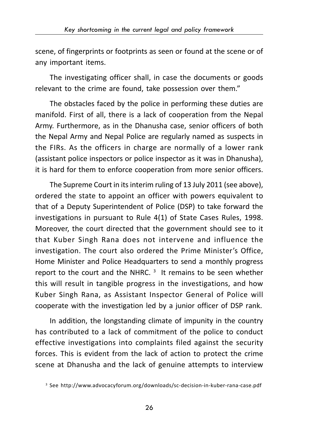scene, of fingerprints or footprints as seen or found at the scene or of any important items.

The investigating officer shall, in case the documents or goods relevant to the crime are found, take possession over them."

The obstacles faced by the police in performing these duties are manifold. First of all, there is a lack of cooperation from the Nepal Army. Furthermore, as in the Dhanusha case, senior officers of both the Nepal Army and Nepal Police are regularly named as suspects in the FIRs. As the officers in charge are normally of a lower rank (assistant police inspectors or police inspector as it was in Dhanusha), it is hard for them to enforce cooperation from more senior officers.

The Supreme Court in its interim ruling of 13 July 2011 (see above), ordered the state to appoint an officer with powers equivalent to that of a Deputy Superintendent of Police (DSP) to take forward the investigations in pursuant to Rule 4(1) of State Cases Rules, 1998. Moreover, the court directed that the government should see to it that Kuber Singh Rana does not intervene and influence the investigation. The court also ordered the Prime Minister's Office, Home Minister and Police Headquarters to send a monthly progress report to the court and the NHRC.  $3$  It remains to be seen whether this will result in tangible progress in the investigations, and how Kuber Singh Rana, as Assistant Inspector General of Police will cooperate with the investigation led by a junior officer of DSP rank.

In addition, the longstanding climate of impunity in the country has contributed to a lack of commitment of the police to conduct effective investigations into complaints filed against the security forces. This is evident from the lack of action to protect the crime scene at Dhanusha and the lack of genuine attempts to interview

<sup>3</sup> See http://www.advocacyforum.org/downloads/sc-decision-in-kuber-rana-case.pdf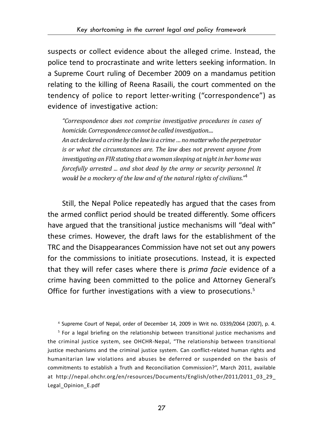suspects or collect evidence about the alleged crime. Instead, the police tend to procrastinate and write letters seeking information. In a Supreme Court ruling of December 2009 on a mandamus petition relating to the killing of Reena Rasaili, the court commented on the tendency of police to report letter-writing ("correspondence") as evidence of investigative action:

*"Correspondence does not comprise investigative procedures in cases of homicide. Correspondence cannot be called investigation.... An act declared a crime by the law is a crime … no matter who the perpetrator is or what the circumstances are. The law does not prevent anyone from investigating an FIR stating that a woman sleeping at night in her home was forcefully arrested ... and shot dead by the army or security personnel. It would be a mockery of the law and of the natural rights of civilians."*<sup>4</sup>

Still, the Nepal Police repeatedly has argued that the cases from the armed conflict period should be treated differently. Some officers have argued that the transitional justice mechanisms will "deal with" these crimes. However, the draft laws for the establishment of the TRC and the Disappearances Commission have not set out any powers for the commissions to initiate prosecutions. Instead, it is expected that they will refer cases where there is *prima facie* evidence of a crime having been committed to the police and Attorney General's Office for further investigations with a view to prosecutions.<sup>5</sup>

4 Supreme Court of Nepal, order of December 14, 2009 in Writ no. 0339/2064 (2007), p. 4.

5 For a legal briefing on the relationship between transitional justice mechanisms and the criminal justice system, see OHCHR-Nepal, "The relationship between transitional justice mechanisms and the criminal justice system. Can conflict-related human rights and humanitarian law violations and abuses be deferred or suspended on the basis of commitments to establish a Truth and Reconciliation Commission?", March 2011, available at http://nepal.ohchr.org/en/resources/Documents/English/other/2011/2011\_03\_29 Legal\_Opinion\_E.pdf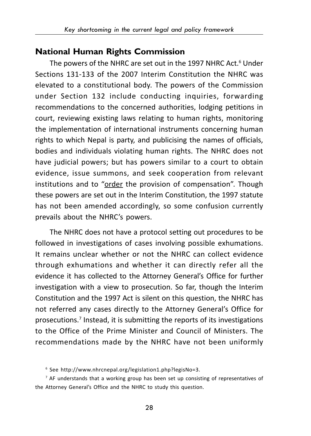## **National Human Rights Commission**

The powers of the NHRC are set out in the 1997 NHRC Act. $^6$  Under Sections 131-133 of the 2007 Interim Constitution the NHRC was elevated to a constitutional body. The powers of the Commission under Section 132 include conducting inquiries, forwarding recommendations to the concerned authorities, lodging petitions in court, reviewing existing laws relating to human rights, monitoring the implementation of international instruments concerning human rights to which Nepal is party, and publicising the names of officials, bodies and individuals violating human rights. The NHRC does not have judicial powers; but has powers similar to a court to obtain evidence, issue summons, and seek cooperation from relevant institutions and to "order the provision of compensation". Though these powers are set out in the Interim Constitution, the 1997 statute has not been amended accordingly, so some confusion currently prevails about the NHRC's powers.

The NHRC does not have a protocol setting out procedures to be followed in investigations of cases involving possible exhumations. It remains unclear whether or not the NHRC can collect evidence through exhumations and whether it can directly refer all the evidence it has collected to the Attorney General's Office for further investigation with a view to prosecution. So far, though the Interim Constitution and the 1997 Act is silent on this question, the NHRC has not referred any cases directly to the Attorney General's Office for prosecutions.<sup>7</sup> Instead, it is submitting the reports of its investigations to the Office of the Prime Minister and Council of Ministers. The recommendations made by the NHRC have not been uniformly

6 See http://www.nhrcnepal.org/legislation1.php?legisNo=3.

<sup>7</sup> AF understands that a working group has been set up consisting of representatives of the Attorney General's Office and the NHRC to study this question.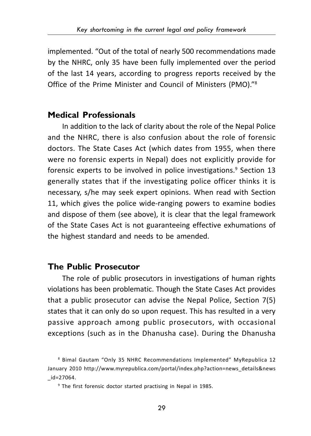implemented. "Out of the total of nearly 500 recommendations made by the NHRC, only 35 have been fully implemented over the period of the last 14 years, according to progress reports received by the Office of the Prime Minister and Council of Ministers (PMO)."8

## **Medical Professionals**

In addition to the lack of clarity about the role of the Nepal Police and the NHRC, there is also confusion about the role of forensic doctors. The State Cases Act (which dates from 1955, when there were no forensic experts in Nepal) does not explicitly provide for forensic experts to be involved in police investigations.<sup>9</sup> Section 13 generally states that if the investigating police officer thinks it is necessary, s/he may seek expert opinions. When read with Section 11, which gives the police wide-ranging powers to examine bodies and dispose of them (see above), it is clear that the legal framework of the State Cases Act is not guaranteeing effective exhumations of the highest standard and needs to be amended.

## **The Public Prosecutor**

The role of public prosecutors in investigations of human rights violations has been problematic. Though the State Cases Act provides that a public prosecutor can advise the Nepal Police, Section 7(5) states that it can only do so upon request. This has resulted in a very passive approach among public prosecutors, with occasional exceptions (such as in the Dhanusha case). During the Dhanusha

<sup>8</sup> Bimal Gautam "Only 35 NHRC Recommendations Implemented" MyRepublica 12 January 2010 http://www.myrepublica.com/portal/index.php?action=news\_details&news \_id=27064.

<sup>9</sup> The first forensic doctor started practising in Nepal in 1985.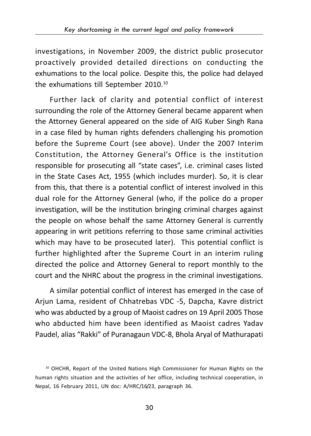investigations, in November 2009, the district public prosecutor proactively provided detailed directions on conducting the exhumations to the local police. Despite this, the police had delayed the exhumations till September 2010.10

Further lack of clarity and potential conflict of interest surrounding the role of the Attorney General became apparent when the Attorney General appeared on the side of AIG Kuber Singh Rana in a case filed by human rights defenders challenging his promotion before the Supreme Court (see above). Under the 2007 Interim Constitution, the Attorney General's Office is the institution responsible for prosecuting all "state cases", i.e. criminal cases listed in the State Cases Act, 1955 (which includes murder). So, it is clear from this, that there is a potential conflict of interest involved in this dual role for the Attorney General (who, if the police do a proper investigation, will be the institution bringing criminal charges against the people on whose behalf the same Attorney General is currently appearing in writ petitions referring to those same criminal activities which may have to be prosecuted later). This potential conflict is further highlighted after the Supreme Court in an interim ruling directed the police and Attorney General to report monthly to the court and the NHRC about the progress in the criminal investigations.

A similar potential conflict of interest has emerged in the case of Arjun Lama, resident of Chhatrebas VDC -5, Dapcha, Kavre district who was abducted by a group of Maoist cadres on 19 April 2005 Those who abducted him have been identified as Maoist cadres Yadav Paudel, alias "Rakki" of Puranagaun VDC-8, Bhola Aryal of Mathurapati

<sup>&</sup>lt;sup>10</sup> OHCHR, Report of the United Nations High Commissioner for Human Rights on the human rights situation and the activities of her office, including technical cooperation, in Nepal, 16 February 2011, UN doc: A/HRC/16/23, paragraph 36.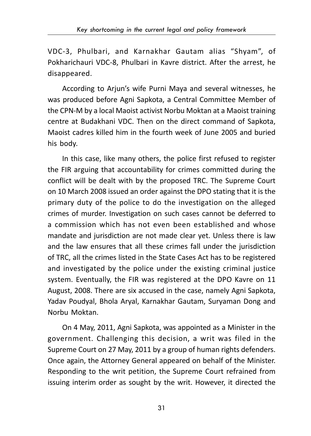VDC-3, Phulbari, and Karnakhar Gautam alias "Shyam", of Pokharichauri VDC-8, Phulbari in Kavre district. After the arrest, he disappeared.

According to Arjun's wife Purni Maya and several witnesses, he was produced before Agni Sapkota, a Central Committee Member of the CPN-M by a local Maoist activist Norbu Moktan at a Maoist training centre at Budakhani VDC. Then on the direct command of Sapkota, Maoist cadres killed him in the fourth week of June 2005 and buried his body.

In this case, like many others, the police first refused to register the FIR arguing that accountability for crimes committed during the conflict will be dealt with by the proposed TRC. The Supreme Court on 10 March 2008 issued an order against the DPO stating that it is the primary duty of the police to do the investigation on the alleged crimes of murder. Investigation on such cases cannot be deferred to a commission which has not even been established and whose mandate and jurisdiction are not made clear yet. Unless there is law and the law ensures that all these crimes fall under the jurisdiction of TRC, all the crimes listed in the State Cases Act has to be registered and investigated by the police under the existing criminal justice system. Eventually, the FIR was registered at the DPO Kavre on 11 August, 2008. There are six accused in the case, namely Agni Sapkota, Yadav Poudyal, Bhola Aryal, Karnakhar Gautam, Suryaman Dong and Norbu Moktan.

On 4 May, 2011, Agni Sapkota, was appointed as a Minister in the government. Challenging this decision, a writ was filed in the Supreme Court on 27 May, 2011 by a group of human rights defenders. Once again, the Attorney General appeared on behalf of the Minister. Responding to the writ petition, the Supreme Court refrained from issuing interim order as sought by the writ. However, it directed the

31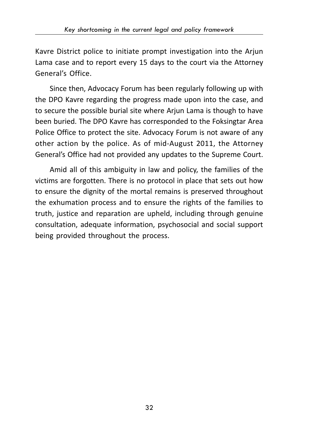Kavre District police to initiate prompt investigation into the Arjun Lama case and to report every 15 days to the court via the Attorney General's Office.

Since then, Advocacy Forum has been regularly following up with the DPO Kavre regarding the progress made upon into the case, and to secure the possible burial site where Arjun Lama is though to have been buried. The DPO Kavre has corresponded to the Foksingtar Area Police Office to protect the site. Advocacy Forum is not aware of any other action by the police. As of mid-August 2011, the Attorney General's Office had not provided any updates to the Supreme Court.

Amid all of this ambiguity in law and policy, the families of the victims are forgotten. There is no protocol in place that sets out how to ensure the dignity of the mortal remains is preserved throughout the exhumation process and to ensure the rights of the families to truth, justice and reparation are upheld, including through genuine consultation, adequate information, psychosocial and social support being provided throughout the process.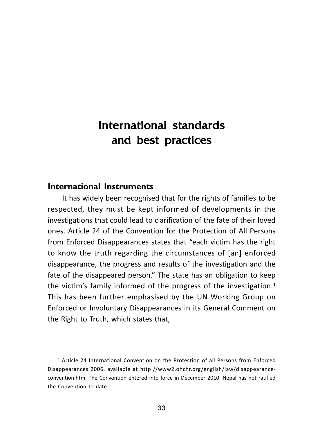# International standards and best practices and best practices

#### **International Instruments**

It has widely been recognised that for the rights of families to be respected, they must be kept informed of developments in the investigations that could lead to clarification of the fate of their loved ones. Article 24 of the Convention for the Protection of All Persons from Enforced Disappearances states that "each victim has the right to know the truth regarding the circumstances of [an] enforced disappearance, the progress and results of the investigation and the fate of the disappeared person." The state has an obligation to keep the victim's family informed of the progress of the investigation. $1$ This has been further emphasised by the UN Working Group on Enforced or Involuntary Disappearances in its General Comment on the Right to Truth, which states that,

1 Article 24 International Convention on the Protection of all Persons from Enforced Disappearances 2006, available at http://www2.ohchr.org/english/law/disappearanceconvention.htm. The Convention entered into force in December 2010. Nepal has not ratified the Convention to date.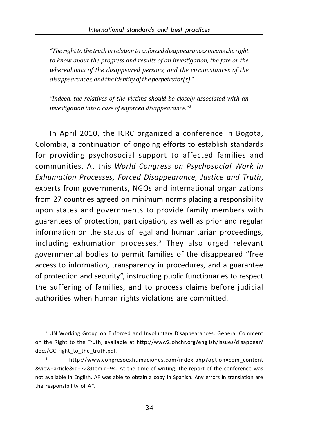*"The right to the truth in relation to enforced disappearances means the right to know about the progress and results of an investigation, the fate or the whereabouts of the disappeared persons, and the circumstances of the disappearances, and the identity of the perpetrator(s)."*

*"Indeed, the relatives of the victims should be closely associated with an investigation into a case of enforced disappearance." 2*

In April 2010, the ICRC organized a conference in Bogota, Colombia, a continuation of ongoing efforts to establish standards for providing psychosocial support to affected families and communities. At this *World Congress on Psychosocial Work in Exhumation Processes, Forced Disappearance, Justice and Truth*, experts from governments, NGOs and international organizations from 27 countries agreed on minimum norms placing a responsibility upon states and governments to provide family members with guarantees of protection, participation, as well as prior and regular information on the status of legal and humanitarian proceedings, including exhumation processes.3 They also urged relevant governmental bodies to permit families of the disappeared "free access to information, transparency in procedures, and a guarantee of protection and security", instructing public functionaries to respect the suffering of families, and to process claims before judicial authorities when human rights violations are committed.

2 UN Working Group on Enforced and Involuntary Disappearances, General Comment on the Right to the Truth, available at http://www2.ohchr.org/english/issues/disappear/ docs/GC-right\_to\_the\_truth.pdf.

3 http://www.congresoexhumaciones.com/index.php?option=com\_content &view=article&id=72&Itemid=94. At the time of writing, the report of the conference was not available in English. AF was able to obtain a copy in Spanish. Any errors in translation are the responsibility of AF.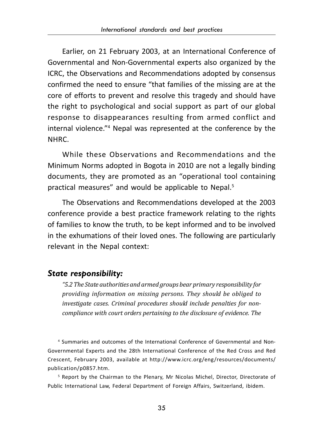Earlier, on 21 February 2003, at an International Conference of Governmental and Non-Governmental experts also organized by the ICRC, the Observations and Recommendations adopted by consensus confirmed the need to ensure "that families of the missing are at the core of efforts to prevent and resolve this tragedy and should have the right to psychological and social support as part of our global response to disappearances resulting from armed conflict and internal violence."4 Nepal was represented at the conference by the NHRC.

While these Observations and Recommendations and the Minimum Norms adopted in Bogota in 2010 are not a legally binding documents, they are promoted as an "operational tool containing practical measures" and would be applicable to Nepal.<sup>5</sup>

The Observations and Recommendations developed at the 2003 conference provide a best practice framework relating to the rights of families to know the truth, to be kept informed and to be involved in the exhumations of their loved ones. The following are particularly relevant in the Nepal context:

#### *State responsibility:*

*"5.2 The State authorities and armed groups bear primary responsibility for providing information on missing persons. They should be obliged to investigate cases. Criminal procedures should include penalties for noncompliance with court orders pertaining to the disclosure of evidence. The*

4 Summaries and outcomes of the International Conference of Governmental and Non-Governmental Experts and the 28th International Conference of the Red Cross and Red Crescent, February 2003, available at http://www.icrc.org/eng/resources/documents/ publication/p0857.htm.

 $^5$  Report by the Chairman to the Plenary, Mr Nicolas Michel, Director, Directorate of Public International Law, Federal Department of Foreign Affairs, Switzerland, ibidem.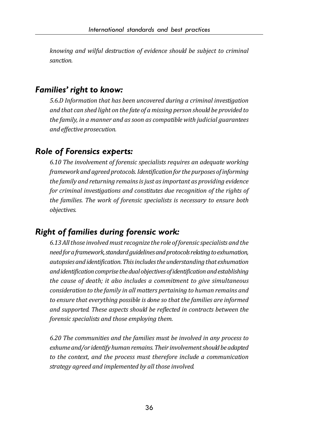*knowing and wilful destruction of evidence should be subject to criminal sanction.*

#### *Families' right to know:*

*5.6.D Information that has been uncovered during a criminal investigation and that can shed light on the fate of a missing person should be provided to the family, in a manner and as soon as compatible with judicial guarantees and effective prosecution.*

### *Role of Forensics experts:*

*6.10 The involvement of forensic specialists requires an adequate working framework and agreed protocols. Identification for the purposes of informing the family and returning remains is just as important as providing evidence for criminal investigations and constitutes due recognition of the rights of the families. The work of forensic specialists is necessary to ensure both objectives.*

## *Right of families during forensic work:*

*6.13 All those involved must recognize the role of forensic specialists and the need for a framework, standard guidelines and protocols relating to exhumation, autopsies and identification. This includes the understanding that exhumation and identification comprise the dual objectives of identification and establishing the cause of death; it also includes a commitment to give simultaneous consideration to the family in all matters pertaining to human remains and to ensure that everything possible is done so that the families are informed and supported. These aspects should be reflected in contracts between the forensic specialists and those employing them.*

*6.20 The communities and the families must be involved in any process to exhume and/or identify human remains. Their involvement should be adapted to the context, and the process must therefore include a communication strategy agreed and implemented by all those involved.*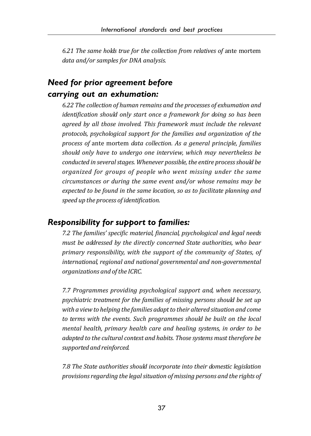*6.21 The same holds true for the collection from relatives of* ante mortem *data and/or samples for DNA analysis.*

## *Need for prior agreement before carrying out an exhumation:*

*6.22 The collection of human remains and the processes of exhumation and identification should only start once a framework for doing so has been agreed by all those involved. This framework must include the relevant protocols, psychological support for the families and organization of the process of* ante mortem *data collection. As a general principle, families should only have to undergo one interview, which may nevertheless be conducted in several stages. Whenever possible, the entire process should be organized for groups of people who went missing under the same circumstances or during the same event and/or whose remains may be expected to be found in the same location, so as to facilitate planning and speed up the process of identification.*

### *Responsibility for support to families:*

*7.2 The families' specific material, financial, psychological and legal needs must be addressed by the directly concerned State authorities, who bear primary responsibility, with the support of the community of States, of international, regional and national governmental and non-governmental organizations and of the ICRC.*

*7.7 Programmes providing psychological support and, when necessary, psychiatric treatment for the families of missing persons should be set up with a view to helping the families adapt to their altered situation and come to terms with the events. Such programmes should be built on the local mental health, primary health care and healing systems, in order to be adapted to the cultural context and habits. Those systems must therefore be supported and reinforced.*

*7.8 The State authorities should incorporate into their domestic legislation provisions regarding the legal situation of missing persons and the rights of*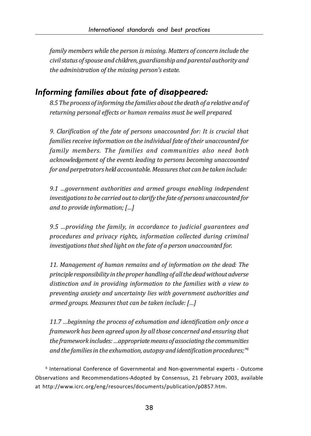*family members while the person is missing. Matters of concern include the civil status of spouse and children, guardianship and parental authority and the administration of the missing person's estate.*

## *Informing families about fate of disappeared:*

*8.5 The process of informing the families about the death of a relative and of returning personal effects or human remains must be well prepared.*

*9. Clarification of the fate of persons unaccounted for: It is crucial that families receive information on the individual fate of their unaccounted for family members. The families and communities also need both acknowledgement of the events leading to persons becoming unaccounted for and perpetrators held accountable. Measures that can be taken include:*

*9.1 …government authorities and armed groups enabling independent investigations to be carried out to clarify the fate of persons unaccounted for and to provide information; […]*

*9.5 …providing the family, in accordance to judicial guarantees and procedures and privacy rights, information collected during criminal investigations that shed light on the fate of a person unaccounted for.*

*11. Management of human remains and of information on the dead: The principle responsibility in the proper handling of all the dead without adverse distinction and in providing information to the families with a view to preventing anxiety and uncertainty lies with government authorities and armed groups. Measures that can be taken include: […]*

*11.7 …beginning the process of exhumation and identification only once a framework has been agreed upon by all those concerned and ensuring that the framework includes: …appropriate means of associating the communities and the families in the exhumation, autopsy and identification procedures;"6*

6 International Conference of Governmental and Non-governmental experts - Outcome Observations and Recommendations-Adopted by Consensus, 21 February 2003, available at http://www.icrc.org/eng/resources/documents/publication/p0857.htm.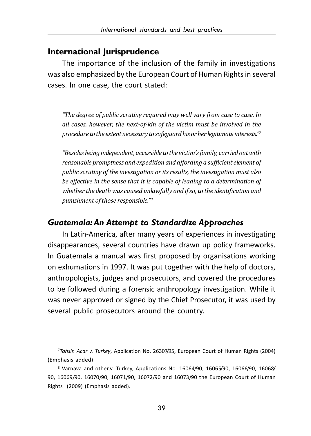#### **International Jurisprudence**

The importance of the inclusion of the family in investigations was also emphasized by the European Court of Human Rights in several cases. In one case, the court stated:

*"The degree of public scrutiny required may well vary from case to case. In all cases, however, the next-of-kin of the victim must be involved in the procedure to the extent necessary to safeguard his or her legitimate interests."7*

*"Besides being independent, accessible to the victim's family, carried out with reasonable promptness and expedition and affording a sufficient element of public scrutiny of the investigation or its results, the investigation must also be effective in the sense that it is capable of leading to a determination of whether the death was caused unlawfully and if so, to the identification and punishment of those responsible."8*

## *Guatemala: An Attempt to Standardize Approaches*

In Latin-America, after many years of experiences in investigating disappearances, several countries have drawn up policy frameworks. In Guatemala a manual was first proposed by organisations working on exhumations in 1997. It was put together with the help of doctors, anthropologists, judges and prosecutors, and covered the procedures to be followed during a forensic anthropology investigation. While it was never approved or signed by the Chief Prosecutor, it was used by several public prosecutors around the country.

7 *Tahsin Acar v. Turkey*, Application No. 26307/95, European Court of Human Rights (2004) (Emphasis added).

 $^{\rm 8}$  Varnava and other,v. Turkey, Applications No. 16064/90, 16065/90, 16066/90, 16068/ 90, 16069/90, 16070/90, 16071/90, 16072/90 and 16073/90 the European Court of Human Rights (2009) (Emphasis added).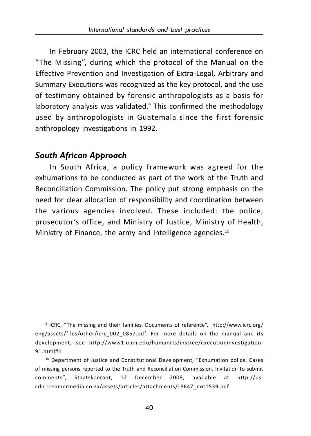In February 2003, the ICRC held an international conference on "The Missing", during which the protocol of the Manual on the Effective Prevention and Investigation of Extra-Legal, Arbitrary and Summary Executions was recognized as the key protocol, and the use of testimony obtained by forensic anthropologists as a basis for laboratory analysis was validated.<sup>9</sup> This confirmed the methodology used by anthropologists in Guatemala since the first forensic anthropology investigations in 1992.

#### *South African Approach*

In South Africa, a policy framework was agreed for the exhumations to be conducted as part of the work of the Truth and Reconciliation Commission. The policy put strong emphasis on the need for clear allocation of responsibility and coordination between the various agencies involved. These included: the police, prosecutor's office, and Ministry of Justice, Ministry of Health, Ministry of Finance, the army and intelligence agencies.<sup>10</sup>

9 ICRC, "The missing and their families. Documents of reference", http://www.icrc.org/ eng/assets/files/other/icrc\_002\_0857.pdf. For more details on the manual and its development, see http://www1.umn.edu/humanrts/instree/executioninvestigation-91.html#II

<sup>10</sup> Department of Justice and Constitutional Development, "Exhumation police. Cases of missing persons reported to the Truth and Reconciliation Commission. Invitation to submit comments", Staatskoerant, 12 December 2008, available at http://uscdn.creamermedia.co.za/assets/articles/attachments/18647\_not1539.pdf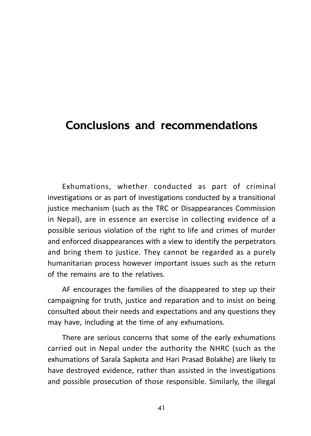## Conclusions and recommendations

Exhumations, whether conducted as part of criminal investigations or as part of investigations conducted by a transitional justice mechanism (such as the TRC or Disappearances Commission in Nepal), are in essence an exercise in collecting evidence of a possible serious violation of the right to life and crimes of murder and enforced disappearances with a view to identify the perpetrators and bring them to justice. They cannot be regarded as a purely humanitarian process however important issues such as the return of the remains are to the relatives.

AF encourages the families of the disappeared to step up their campaigning for truth, justice and reparation and to insist on being consulted about their needs and expectations and any questions they may have, including at the time of any exhumations.

There are serious concerns that some of the early exhumations carried out in Nepal under the authority the NHRC (such as the exhumations of Sarala Sapkota and Hari Prasad Bolakhe) are likely to have destroyed evidence, rather than assisted in the investigations and possible prosecution of those responsible. Similarly, the illegal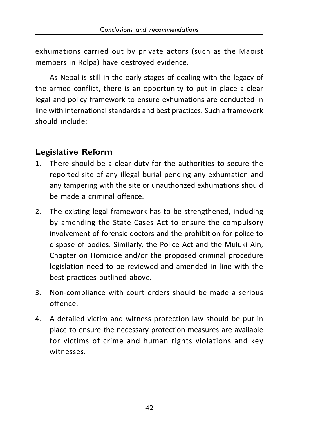exhumations carried out by private actors (such as the Maoist members in Rolpa) have destroyed evidence.

As Nepal is still in the early stages of dealing with the legacy of the armed conflict, there is an opportunity to put in place a clear legal and policy framework to ensure exhumations are conducted in line with international standards and best practices. Such a framework should include:

## **Legislative Reform**

- 1. There should be a clear duty for the authorities to secure the reported site of any illegal burial pending any exhumation and any tampering with the site or unauthorized exhumations should be made a criminal offence.
- 2. The existing legal framework has to be strengthened, including by amending the State Cases Act to ensure the compulsory involvement of forensic doctors and the prohibition for police to dispose of bodies. Similarly, the Police Act and the Muluki Ain, Chapter on Homicide and/or the proposed criminal procedure legislation need to be reviewed and amended in line with the best practices outlined above.
- 3. Non-compliance with court orders should be made a serious offence.
- 4. A detailed victim and witness protection law should be put in place to ensure the necessary protection measures are available for victims of crime and human rights violations and key witnesses.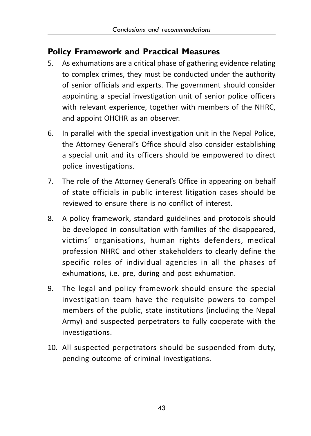## **Policy Framework and Practical Measures**

- 5. As exhumations are a critical phase of gathering evidence relating to complex crimes, they must be conducted under the authority of senior officials and experts. The government should consider appointing a special investigation unit of senior police officers with relevant experience, together with members of the NHRC, and appoint OHCHR as an observer.
- 6. In parallel with the special investigation unit in the Nepal Police, the Attorney General's Office should also consider establishing a special unit and its officers should be empowered to direct police investigations.
- 7. The role of the Attorney General's Office in appearing on behalf of state officials in public interest litigation cases should be reviewed to ensure there is no conflict of interest.
- 8. A policy framework, standard guidelines and protocols should be developed in consultation with families of the disappeared, victims' organisations, human rights defenders, medical profession NHRC and other stakeholders to clearly define the specific roles of individual agencies in all the phases of exhumations, i.e. pre, during and post exhumation.
- 9. The legal and policy framework should ensure the special investigation team have the requisite powers to compel members of the public, state institutions (including the Nepal Army) and suspected perpetrators to fully cooperate with the investigations.
- 10. All suspected perpetrators should be suspended from duty, pending outcome of criminal investigations.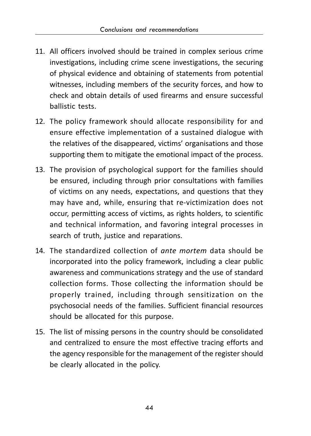- 11. All officers involved should be trained in complex serious crime investigations, including crime scene investigations, the securing of physical evidence and obtaining of statements from potential witnesses, including members of the security forces, and how to check and obtain details of used firearms and ensure successful ballistic tests.
- 12. The policy framework should allocate responsibility for and ensure effective implementation of a sustained dialogue with the relatives of the disappeared, victims' organisations and those supporting them to mitigate the emotional impact of the process.
- 13. The provision of psychological support for the families should be ensured, including through prior consultations with families of victims on any needs, expectations, and questions that they may have and, while, ensuring that re-victimization does not occur, permitting access of victims, as rights holders, to scientific and technical information, and favoring integral processes in search of truth, justice and reparations.
- 14. The standardized collection of *ante mortem* data should be incorporated into the policy framework, including a clear public awareness and communications strategy and the use of standard collection forms. Those collecting the information should be properly trained, including through sensitization on the psychosocial needs of the families. Sufficient financial resources should be allocated for this purpose.
- 15. The list of missing persons in the country should be consolidated and centralized to ensure the most effective tracing efforts and the agency responsible for the management of the register should be clearly allocated in the policy.